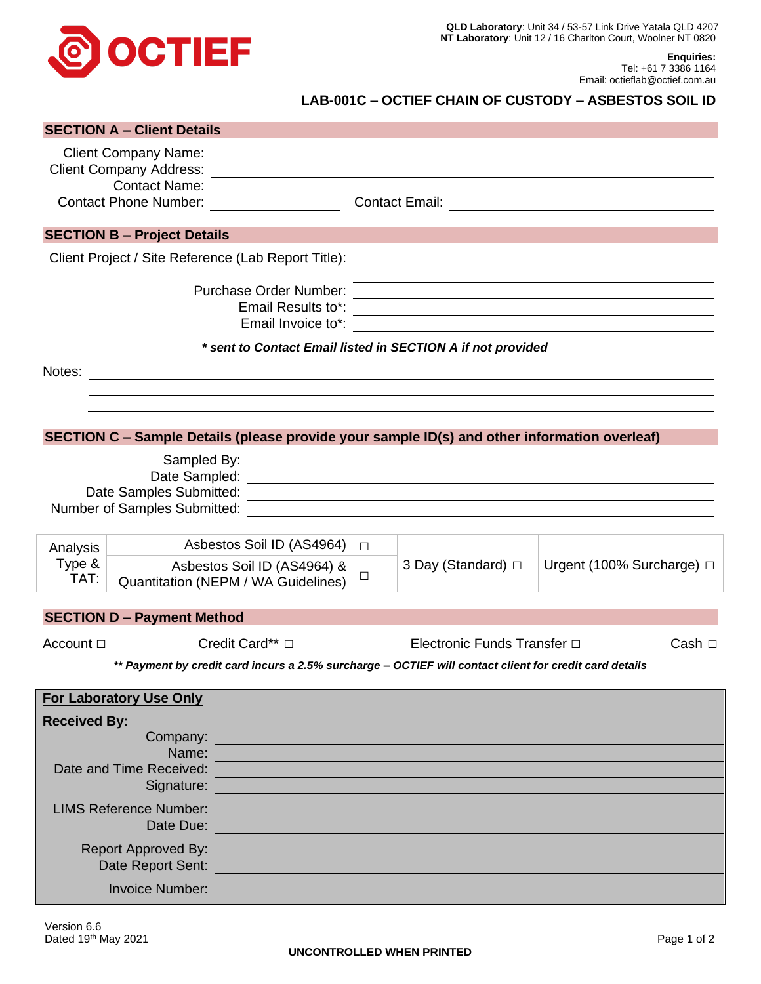

**Enquiries:** Tel: +61 7 3386 1164 Email: octieflab@octief.com.au

## **LAB-001C – OCTIEF CHAIN OF CUSTODY – ASBESTOS SOIL ID**

|                                                                                                        | <b>SECTION A - Client Details</b>   |                                                                                                                                                                                                                                |        |                                                                                                                       |                                                                                                                        |  |  |
|--------------------------------------------------------------------------------------------------------|-------------------------------------|--------------------------------------------------------------------------------------------------------------------------------------------------------------------------------------------------------------------------------|--------|-----------------------------------------------------------------------------------------------------------------------|------------------------------------------------------------------------------------------------------------------------|--|--|
|                                                                                                        |                                     |                                                                                                                                                                                                                                |        |                                                                                                                       |                                                                                                                        |  |  |
|                                                                                                        |                                     |                                                                                                                                                                                                                                |        |                                                                                                                       |                                                                                                                        |  |  |
|                                                                                                        |                                     |                                                                                                                                                                                                                                |        |                                                                                                                       |                                                                                                                        |  |  |
|                                                                                                        |                                     |                                                                                                                                                                                                                                |        |                                                                                                                       |                                                                                                                        |  |  |
|                                                                                                        | <b>SECTION B - Project Details</b>  |                                                                                                                                                                                                                                |        |                                                                                                                       |                                                                                                                        |  |  |
|                                                                                                        |                                     |                                                                                                                                                                                                                                |        |                                                                                                                       |                                                                                                                        |  |  |
|                                                                                                        |                                     | Purchase Order Number:<br>Email Results to*:                                                                                                                                                                                   |        |                                                                                                                       | <u> 1989 - Johann Stoff, deutscher Stoffen und der Stoffen und der Stoffen und der Stoffen und der Stoffen und der</u> |  |  |
|                                                                                                        |                                     |                                                                                                                                                                                                                                |        | * sent to Contact Email listed in SECTION A if not provided                                                           |                                                                                                                        |  |  |
|                                                                                                        |                                     |                                                                                                                                                                                                                                |        | Notes:                                                                                                                |                                                                                                                        |  |  |
|                                                                                                        |                                     |                                                                                                                                                                                                                                |        |                                                                                                                       |                                                                                                                        |  |  |
|                                                                                                        |                                     |                                                                                                                                                                                                                                |        |                                                                                                                       |                                                                                                                        |  |  |
|                                                                                                        |                                     |                                                                                                                                                                                                                                |        | SECTION C - Sample Details (please provide your sample ID(s) and other information overleaf)                          |                                                                                                                        |  |  |
|                                                                                                        |                                     |                                                                                                                                                                                                                                |        |                                                                                                                       |                                                                                                                        |  |  |
|                                                                                                        |                                     |                                                                                                                                                                                                                                |        |                                                                                                                       |                                                                                                                        |  |  |
|                                                                                                        | Date Samples Submitted:             |                                                                                                                                                                                                                                |        | <u> 1989 - Johann John Stone, mensk politik (f. 1989)</u>                                                             |                                                                                                                        |  |  |
|                                                                                                        |                                     |                                                                                                                                                                                                                                |        |                                                                                                                       |                                                                                                                        |  |  |
| Analysis                                                                                               |                                     | Asbestos Soil ID (AS4964)                                                                                                                                                                                                      | $\Box$ |                                                                                                                       |                                                                                                                        |  |  |
| Type &                                                                                                 | Asbestos Soil ID (AS4964) &         |                                                                                                                                                                                                                                |        | 3 Day (Standard) □                                                                                                    | Urgent (100% Surcharge) □                                                                                              |  |  |
| TAT:                                                                                                   | Quantitation (NEPM / WA Guidelines) |                                                                                                                                                                                                                                | ⊔      |                                                                                                                       |                                                                                                                        |  |  |
|                                                                                                        |                                     |                                                                                                                                                                                                                                |        |                                                                                                                       |                                                                                                                        |  |  |
|                                                                                                        | <b>SECTION D - Payment Method</b>   |                                                                                                                                                                                                                                |        |                                                                                                                       |                                                                                                                        |  |  |
| Account $\Box$                                                                                         |                                     | Credit Card** □                                                                                                                                                                                                                |        | Electronic Funds Transfer □<br>Cash $\Box$                                                                            |                                                                                                                        |  |  |
| ** Payment by credit card incurs a 2.5% surcharge - OCTIEF will contact client for credit card details |                                     |                                                                                                                                                                                                                                |        |                                                                                                                       |                                                                                                                        |  |  |
|                                                                                                        | <b>For Laboratory Use Only</b>      |                                                                                                                                                                                                                                |        |                                                                                                                       |                                                                                                                        |  |  |
| <b>Received By:</b>                                                                                    |                                     |                                                                                                                                                                                                                                |        |                                                                                                                       |                                                                                                                        |  |  |
|                                                                                                        | Company:                            |                                                                                                                                                                                                                                |        |                                                                                                                       |                                                                                                                        |  |  |
| Name:<br>Date and Time Received:                                                                       |                                     |                                                                                                                                                                                                                                |        |                                                                                                                       |                                                                                                                        |  |  |
|                                                                                                        |                                     | Signature: Signature:                                                                                                                                                                                                          |        | <u> 1989 - Johann Stein, marwolaethau a bhann an t-Amhainn an t-Amhainn an t-Amhainn an t-Amhainn an t-Amhainn an</u> |                                                                                                                        |  |  |
| <b>LIMS Reference Number:</b>                                                                          |                                     |                                                                                                                                                                                                                                |        |                                                                                                                       |                                                                                                                        |  |  |
| Date Due:                                                                                              |                                     |                                                                                                                                                                                                                                |        |                                                                                                                       |                                                                                                                        |  |  |
| <b>Report Approved By:</b>                                                                             |                                     |                                                                                                                                                                                                                                |        | <u> 1989 - Johann Barn, mars eta biztanleria (</u>                                                                    |                                                                                                                        |  |  |
|                                                                                                        |                                     | Date Report Sent: Network and Sentiment Contract of the Contract of the Contract of the Contract of the Contract of the Contract of the Contract of the Contract of the Contract of the Contract of the Contract of the Contra |        |                                                                                                                       |                                                                                                                        |  |  |
|                                                                                                        | <b>Invoice Number:</b>              |                                                                                                                                                                                                                                |        |                                                                                                                       |                                                                                                                        |  |  |
|                                                                                                        |                                     |                                                                                                                                                                                                                                |        |                                                                                                                       |                                                                                                                        |  |  |